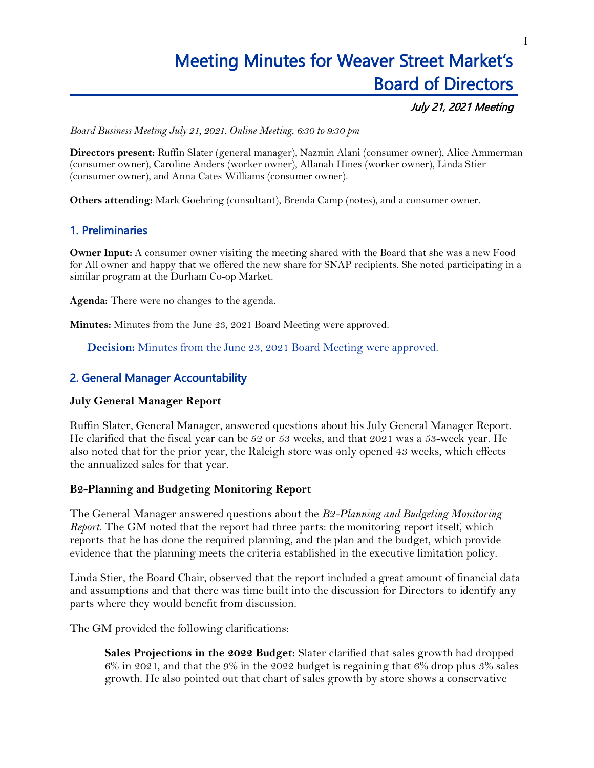# Meeting Minutes for Weaver Street Market's Board of Directors

July 21, 2021 Meeting

*Board Business Meeting July 21, 2021, Online Meeting, 6:30 to 9:30 pm*

**Directors present:** Ruffin Slater (general manager), Nazmin Alani (consumer owner), Alice Ammerman (consumer owner), Caroline Anders (worker owner), Allanah Hines (worker owner), Linda Stier (consumer owner), and Anna Cates Williams (consumer owner).

**Others attending:** Mark Goehring (consultant), Brenda Camp (notes), and a consumer owner.

# 1. Preliminaries

**Owner Input:** A consumer owner visiting the meeting shared with the Board that she was a new Food for All owner and happy that we offered the new share for SNAP recipients. She noted participating in a similar program at the Durham Co-op Market.

**Agenda:** There were no changes to the agenda.

**Minutes:** Minutes from the June 23, 2021 Board Meeting were approved.

**Decision:** Minutes from the June 23, 2021 Board Meeting were approved.

### 2. General Manager Accountability

#### **July General Manager Report**

Ruffin Slater, General Manager, answered questions about his July General Manager Report. He clarified that the fiscal year can be 52 or 53 weeks, and that 2021 was a 53-week year. He also noted that for the prior year, the Raleigh store was only opened 43 weeks, which effects the annualized sales for that year.

#### **B2-Planning and Budgeting Monitoring Report**

The General Manager answered questions about the *B2-Planning and Budgeting Monitoring Report*. The GM noted that the report had three parts: the monitoring report itself, which reports that he has done the required planning, and the plan and the budget, which provide evidence that the planning meets the criteria established in the executive limitation policy.

Linda Stier, the Board Chair, observed that the report included a great amount of financial data and assumptions and that there was time built into the discussion for Directors to identify any parts where they would benefit from discussion.

The GM provided the following clarifications:

**Sales Projections in the 2022 Budget:** Slater clarified that sales growth had dropped 6% in 2021, and that the 9% in the 2022 budget is regaining that 6% drop plus 3% sales growth. He also pointed out that chart of sales growth by store shows a conservative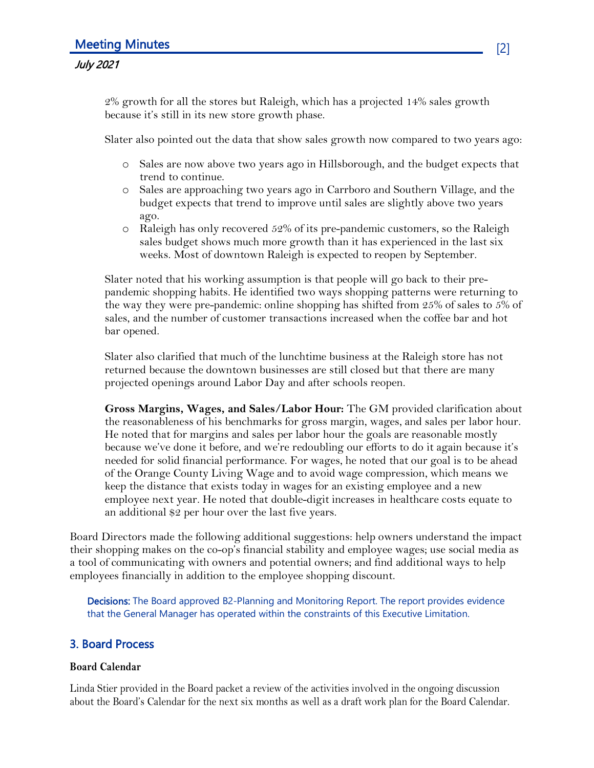2% growth for all the stores but Raleigh, which has a projected 14% sales growth because it's still in its new store growth phase.

Slater also pointed out the data that show sales growth now compared to two years ago:

- o Sales are now above two years ago in Hillsborough, and the budget expects that trend to continue.
- o Sales are approaching two years ago in Carrboro and Southern Village, and the budget expects that trend to improve until sales are slightly above two years ago.
- o Raleigh has only recovered 52% of its pre-pandemic customers, so the Raleigh sales budget shows much more growth than it has experienced in the last six weeks. Most of downtown Raleigh is expected to reopen by September.

Slater noted that his working assumption is that people will go back to their prepandemic shopping habits. He identified two ways shopping patterns were returning to the way they were pre-pandemic: online shopping has shifted from 25% of sales to 5% of sales, and the number of customer transactions increased when the coffee bar and hot bar opened.

Slater also clarified that much of the lunchtime business at the Raleigh store has not returned because the downtown businesses are still closed but that there are many projected openings around Labor Day and after schools reopen.

**Gross Margins, Wages, and Sales/Labor Hour:** The GM provided clarification about the reasonableness of his benchmarks for gross margin, wages, and sales per labor hour. He noted that for margins and sales per labor hour the goals are reasonable mostly because we've done it before, and we're redoubling our efforts to do it again because it's needed for solid financial performance. For wages, he noted that our goal is to be ahead of the Orange County Living Wage and to avoid wage compression, which means we keep the distance that exists today in wages for an existing employee and a new employee next year. He noted that double-digit increases in healthcare costs equate to an additional \$2 per hour over the last five years.

Board Directors made the following additional suggestions: help owners understand the impact their shopping makes on the co-op's financial stability and employee wages; use social media as a tool of communicating with owners and potential owners; and find additional ways to help employees financially in addition to the employee shopping discount.

**Decisions:** The Board approved B2-Planning and Monitoring Report. The report provides evidence that the General Manager has operated within the constraints of this Executive Limitation.

### 3. Board Process

#### **Board Calendar**

Linda Stier provided in the Board packet a review of the activities involved in the ongoing discussion about the Board's Calendar for the next six months as well as a draft work plan for the Board Calendar.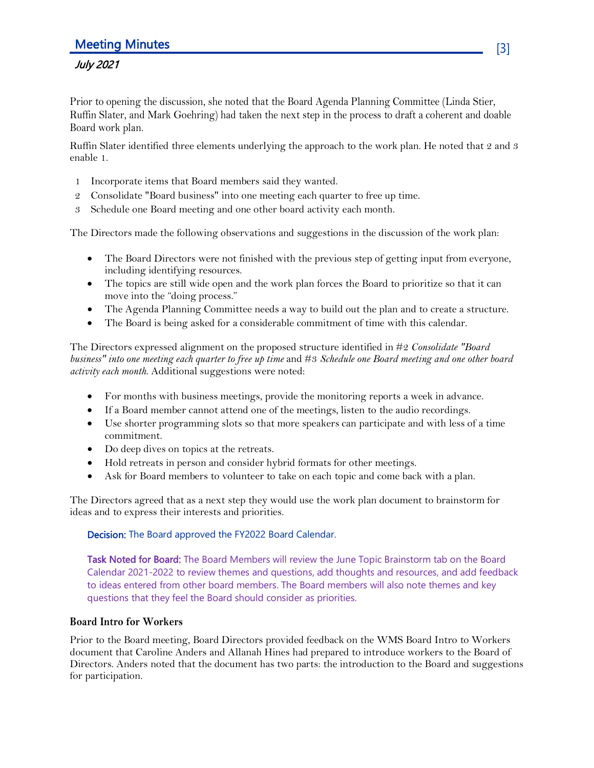# Meeting Minutes [3]

# July 2021

Prior to opening the discussion, she noted that the Board Agenda Planning Committee (Linda Stier, Ruffin Slater, and Mark Goehring) had taken the next step in the process to draft a coherent and doable Board work plan.

Ruffin Slater identified three elements underlying the approach to the work plan. He noted that 2 and 3 enable 1.

- 1 Incorporate items that Board members said they wanted.
- 2 Consolidate "Board business" into one meeting each quarter to free up time.
- 3 Schedule one Board meeting and one other board activity each month.

The Directors made the following observations and suggestions in the discussion of the work plan:

- The Board Directors were not finished with the previous step of getting input from everyone, including identifying resources.
- The topics are still wide open and the work plan forces the Board to prioritize so that it can move into the "doing process."
- The Agenda Planning Committee needs a way to build out the plan and to create a structure.
- The Board is being asked for a considerable commitment of time with this calendar.

The Directors expressed alignment on the proposed structure identified in #2 *Consolidate "Board business" into one meeting each quarter to free up time* and #3 *Schedule one Board meeting and one other board activity each month*. Additional suggestions were noted:

- For months with business meetings, provide the monitoring reports a week in advance.
- If a Board member cannot attend one of the meetings, listen to the audio recordings.
- Use shorter programming slots so that more speakers can participate and with less of a time commitment.
- Do deep dives on topics at the retreats.
- Hold retreats in person and consider hybrid formats for other meetings.
- Ask for Board members to volunteer to take on each topic and come back with a plan.

The Directors agreed that as a next step they would use the work plan document to brainstorm for ideas and to express their interests and priorities.

#### Decision: The Board approved the FY2022 Board Calendar.

Task Noted for Board: The Board Members will review the June Topic Brainstorm tab on the Board Calendar 2021-2022 to review themes and questions, add thoughts and resources, and add feedback to ideas entered from other board members. The Board members will also note themes and key questions that they feel the Board should consider as priorities.

#### **Board Intro for Workers**

Prior to the Board meeting, Board Directors provided feedback on the WMS Board Intro to Workers document that Caroline Anders and Allanah Hines had prepared to introduce workers to the Board of Directors. Anders noted that the document has two parts: the introduction to the Board and suggestions for participation.